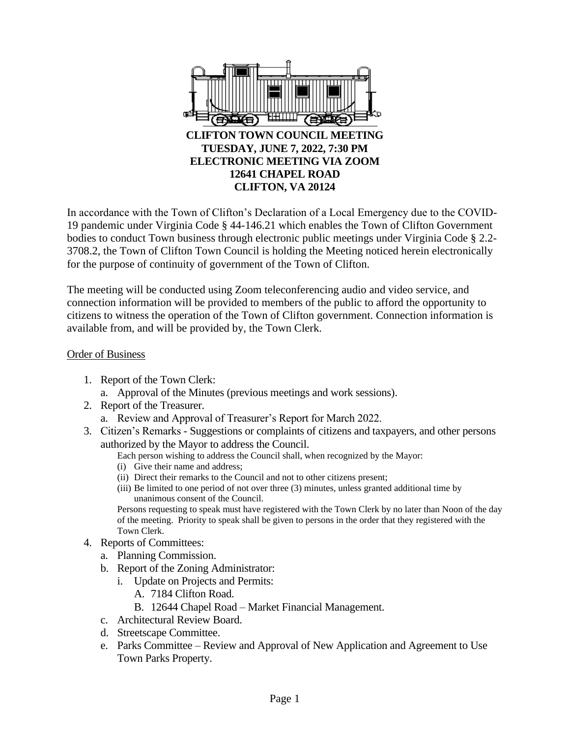

In accordance with the Town of Clifton's Declaration of a Local Emergency due to the COVID-19 pandemic under Virginia Code § 44-146.21 which enables the Town of Clifton Government bodies to conduct Town business through electronic public meetings under Virginia Code § 2.2- 3708.2, the Town of Clifton Town Council is holding the Meeting noticed herein electronically for the purpose of continuity of government of the Town of Clifton.

The meeting will be conducted using Zoom teleconferencing audio and video service, and connection information will be provided to members of the public to afford the opportunity to citizens to witness the operation of the Town of Clifton government. Connection information is available from, and will be provided by, the Town Clerk.

## Order of Business

- 1. Report of the Town Clerk:
	- a. Approval of the Minutes (previous meetings and work sessions).
- 2. Report of the Treasurer.
	- a. Review and Approval of Treasurer's Report for March 2022.
- 3. Citizen's Remarks Suggestions or complaints of citizens and taxpayers, and other persons authorized by the Mayor to address the Council.
	- Each person wishing to address the Council shall, when recognized by the Mayor:
	- (i) Give their name and address;
	- (ii) Direct their remarks to the Council and not to other citizens present;
	- (iii) Be limited to one period of not over three (3) minutes, unless granted additional time by unanimous consent of the Council.

Persons requesting to speak must have registered with the Town Clerk by no later than Noon of the day of the meeting. Priority to speak shall be given to persons in the order that they registered with the Town Clerk.

- 4. Reports of Committees:
	- a. Planning Commission.
	- b. Report of the Zoning Administrator:
		- i. Update on Projects and Permits:
			- A. 7184 Clifton Road.
			- B. 12644 Chapel Road Market Financial Management.
	- c. Architectural Review Board.
	- d. Streetscape Committee.
	- e. Parks Committee Review and Approval of New Application and Agreement to Use Town Parks Property.